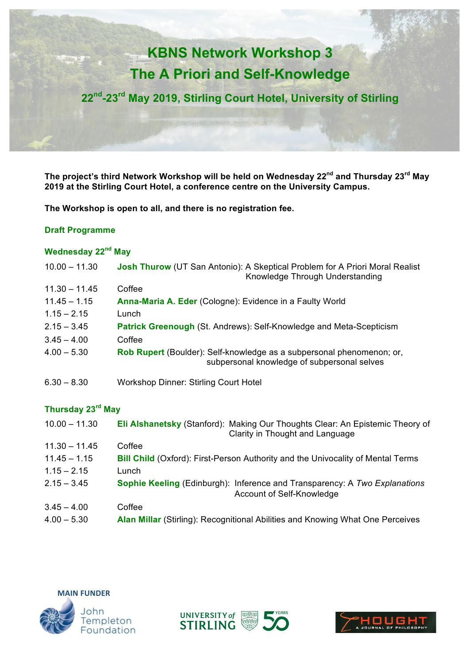# **KBNS Network Workshop 3 The A Priori and Self-Knowledge**

**22nd-23rd May 2019, Stirling Court Hotel, University of Stirling**

**The project's third Network Workshop will be held on Wednesday 22nd and Thursday 23rd May 2019 at the Stirling Court Hotel, a conference centre on the University Campus.** 

**The Workshop is open to all, and there is no registration fee.** 

## **Draft Programme**

# **Wednesday 22nd May**

| $10.00 - 11.30$ | <b>Josh Thurow</b> (UT San Antonio): A Skeptical Problem for A Priori Moral Realist<br>Knowledge Through Understanding |
|-----------------|------------------------------------------------------------------------------------------------------------------------|
| $11.30 - 11.45$ | Coffee                                                                                                                 |
| $11.45 - 1.15$  | Anna-Maria A. Eder (Cologne): Evidence in a Faulty World                                                               |
| $1.15 - 2.15$   | Lunch                                                                                                                  |
| $2.15 - 3.45$   | <b>Patrick Greenough (St. Andrews): Self-Knowledge and Meta-Scepticism</b>                                             |
| $3.45 - 4.00$   | Coffee                                                                                                                 |
| $4.00 - 5.30$   | Rob Rupert (Boulder): Self-knowledge as a subpersonal phenomenon; or,<br>subpersonal knowledge of subpersonal selves   |
| $6.30 - 8.30$   | <b>Workshop Dinner: Stirling Court Hotel</b>                                                                           |

## **Thursday 23rd May**

| $10.00 - 11.30$ | Eli Alshanetsky (Stanford): Making Our Thoughts Clear: An Epistemic Theory of<br>Clarity in Thought and Language |
|-----------------|------------------------------------------------------------------------------------------------------------------|
| $11.30 - 11.45$ | Coffee                                                                                                           |
| $11.45 - 1.15$  | <b>Bill Child</b> (Oxford): First-Person Authority and the Univocality of Mental Terms                           |
| $1.15 - 2.15$   | Lunch                                                                                                            |
| $2.15 - 3.45$   | <b>Sophie Keeling (Edinburgh): Inference and Transparency: A Two Explanations</b><br>Account of Self-Knowledge   |
| $3.45 - 4.00$   | Coffee                                                                                                           |
| $4.00 - 5.30$   | Alan Millar (Stirling): Recognitional Abilities and Knowing What One Perceives                                   |





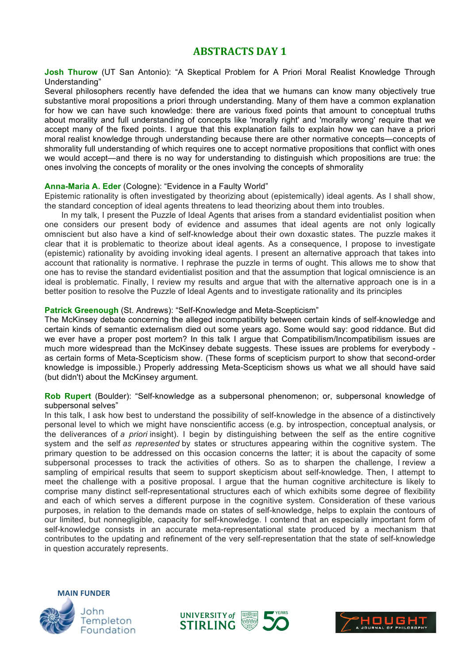# **ABSTRACTS DAY 1**

**Josh Thurow** (UT San Antonio): "A Skeptical Problem for A Priori Moral Realist Knowledge Through Understanding"

Several philosophers recently have defended the idea that we humans can know many objectively true substantive moral propositions a priori through understanding. Many of them have a common explanation for how we can have such knowledge: there are various fixed points that amount to conceptual truths about morality and full understanding of concepts like 'morally right' and 'morally wrong' require that we accept many of the fixed points. I argue that this explanation fails to explain how we can have a priori moral realist knowledge through understanding because there are other normative concepts—concepts of shmorality full understanding of which requires one to accept normative propositions that conflict with ones we would accept—and there is no way for understanding to distinguish which propositions are true: the ones involving the concepts of morality or the ones involving the concepts of shmorality

#### **Anna-Maria A. Eder** (Cologne): "Evidence in a Faulty World"

Epistemic rationality is often investigated by theorizing about (epistemically) ideal agents. As I shall show, the standard conception of ideal agents threatens to lead theorizing about them into troubles.

In my talk, I present the Puzzle of Ideal Agents that arises from a standard evidentialist position when one considers our present body of evidence and assumes that ideal agents are not only logically omniscient but also have a kind of self-knowledge about their own doxastic states. The puzzle makes it clear that it is problematic to theorize about ideal agents. As a consequence, I propose to investigate (epistemic) rationality by avoiding invoking ideal agents. I present an alternative approach that takes into account that rationality is normative. I rephrase the puzzle in terms of ought. This allows me to show that one has to revise the standard evidentialist position and that the assumption that logical omniscience is an ideal is problematic. Finally, I review my results and argue that with the alternative approach one is in a better position to resolve the Puzzle of Ideal Agents and to investigate rationality and its principles

#### **Patrick Greenough** (St. Andrews): "Self-Knowledge and Meta-Scepticism"

The McKinsey debate concerning the alleged incompatibility between certain kinds of self-knowledge and certain kinds of semantic externalism died out some years ago. Some would say: good riddance. But did we ever have a proper post mortem? In this talk I argue that Compatibilism/Incompatibilism issues are much more widespread than the McKinsey debate suggests. These issues are problems for everybody as certain forms of Meta-Scepticism show. (These forms of scepticism purport to show that second-order knowledge is impossible.) Properly addressing Meta-Scepticism shows us what we all should have said (but didn't) about the McKinsey argument.

**Rob Rupert** (Boulder): "Self-knowledge as a subpersonal phenomenon; or, subpersonal knowledge of subpersonal selves"

In this talk, I ask how best to understand the possibility of self-knowledge in the absence of a distinctively personal level to which we might have nonscientific access (e.g. by introspection, conceptual analysis, or the deliverances of *a priori* insight). I begin by distinguishing between the self as the entire cognitive system and the self *as represented* by states or structures appearing within the cognitive system. The primary question to be addressed on this occasion concerns the latter; it is about the capacity of some subpersonal processes to track the activities of others. So as to sharpen the challenge, I review a sampling of empirical results that seem to support skepticism about self-knowledge. Then, I attempt to meet the challenge with a positive proposal. I argue that the human cognitive architecture is likely to comprise many distinct self-representational structures each of which exhibits some degree of flexibility and each of which serves a different purpose in the cognitive system. Consideration of these various purposes, in relation to the demands made on states of self-knowledge, helps to explain the contours of our limited, but nonnegligible, capacity for self-knowledge. I contend that an especially important form of self-knowledge consists in an accurate meta-representational state produced by a mechanism that contributes to the updating and refinement of the very self-representation that the state of self-knowledge in question accurately represents.